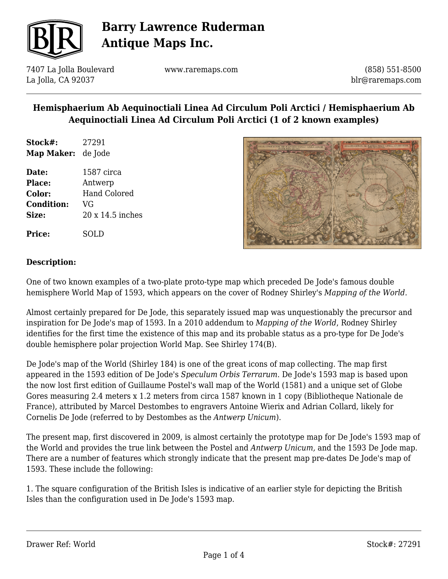

7407 La Jolla Boulevard La Jolla, CA 92037

www.raremaps.com

(858) 551-8500 blr@raremaps.com

## **Hemisphaerium Ab Aequinoctiali Linea Ad Circulum Poli Arctici / Hemisphaerium Ab Aequinoctiali Linea Ad Circulum Poli Arctici (1 of 2 known examples)**

**Stock#:** 27291 **Map Maker:** de Jode

**Date:** 1587 circa **Place:** Antwerp **Color:** Hand Colored **Condition:** VG **Size:** 20 x 14.5 inches



### **Description:**

**Price:** SOLD

One of two known examples of a two-plate proto-type map which preceded De Jode's famous double hemisphere World Map of 1593, which appears on the cover of Rodney Shirley's *Mapping of the World.*

Almost certainly prepared for De Jode, this separately issued map was unquestionably the precursor and inspiration for De Jode's map of 1593. In a 2010 addendum to *Mapping of the World*, Rodney Shirley identifies for the first time the existence of this map and its probable status as a pro-type for De Jode's double hemisphere polar projection World Map. See Shirley 174(B).

De Jode's map of the World (Shirley 184) is one of the great icons of map collecting. The map first appeared in the 1593 edition of De Jode's *Speculum Orbis Terrarum*. De Jode's 1593 map is based upon the now lost first edition of Guillaume Postel's wall map of the World (1581) and a unique set of Globe Gores measuring 2.4 meters x 1.2 meters from circa 1587 known in 1 copy (Bibliotheque Nationale de France), attributed by Marcel Destombes to engravers Antoine Wierix and Adrian Collard, likely for Cornelis De Jode (referred to by Destombes as the *Antwerp Unicum*).

The present map, first discovered in 2009, is almost certainly the prototype map for De Jode's 1593 map of the World and provides the true link between the Postel and *Antwerp Unicum,* and the 1593 De Jode map. There are a number of features which strongly indicate that the present map pre-dates De Jode's map of 1593. These include the following:

1. The square configuration of the British Isles is indicative of an earlier style for depicting the British Isles than the configuration used in De Jode's 1593 map.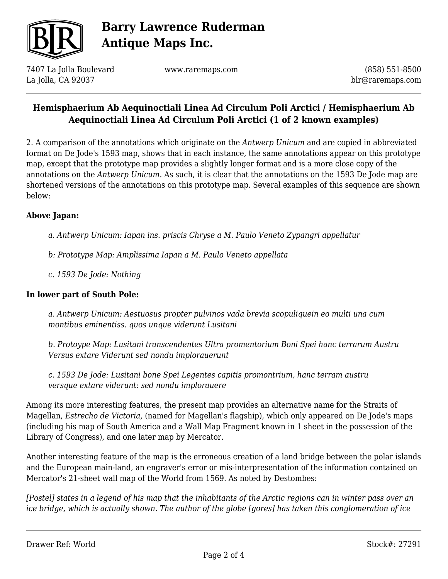

7407 La Jolla Boulevard La Jolla, CA 92037

www.raremaps.com

(858) 551-8500 blr@raremaps.com

## **Hemisphaerium Ab Aequinoctiali Linea Ad Circulum Poli Arctici / Hemisphaerium Ab Aequinoctiali Linea Ad Circulum Poli Arctici (1 of 2 known examples)**

2. A comparison of the annotations which originate on the *Antwerp Unicum* and are copied in abbreviated format on De Jode's 1593 map, shows that in each instance, the same annotations appear on this prototype map, except that the prototype map provides a slightly longer format and is a more close copy of the annotations on the *Antwerp Unicum.* As such, it is clear that the annotations on the 1593 De Jode map are shortened versions of the annotations on this prototype map. Several examples of this sequence are shown below:

#### **Above Japan:**

*a. Antwerp Unicum: Iapan ins. priscis Chryse a M. Paulo Veneto Zypangri appellatur*

- *b: Prototype Map: Amplissima Iapan a M. Paulo Veneto appellata*
- *c. 1593 De Jode: Nothing*

#### **In lower part of South Pole:**

*a. Antwerp Unicum: Aestuosus propter pulvinos vada brevia scopuliquein eo multi una cum montibus eminentiss. quos unque viderunt Lusitani*

*b. Protoype Map: Lusitani transcendentes Ultra promentorium Boni Spei hanc terrarum Austru Versus extare Viderunt sed nondu implorauerunt*

*c. 1593 De Jode: Lusitani bone Spei Legentes capitis promontrium, hanc terram austru versque extare viderunt: sed nondu implorauere*

Among its more interesting features, the present map provides an alternative name for the Straits of Magellan, *Estrecho de Victoria,* (named for Magellan's flagship), which only appeared on De Jode's maps (including his map of South America and a Wall Map Fragment known in 1 sheet in the possession of the Library of Congress), and one later map by Mercator.

Another interesting feature of the map is the erroneous creation of a land bridge between the polar islands and the European main-land, an engraver's error or mis-interpresentation of the information contained on Mercator's 21-sheet wall map of the World from 1569. As noted by Destombes:

*[Postel] states in a legend of his map that the inhabitants of the Arctic regions can in winter pass over an ice bridge, which is actually shown. The author of the globe [gores] has taken this conglomeration of ice*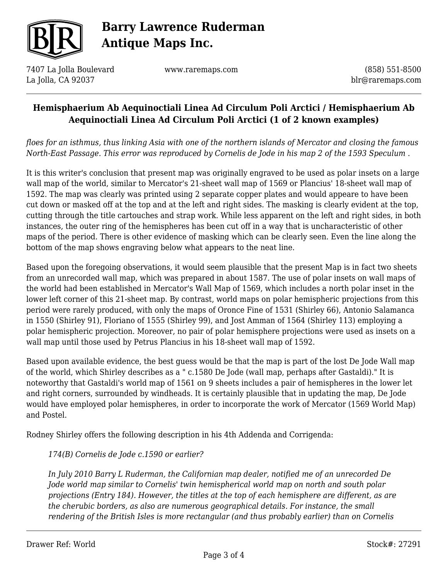

7407 La Jolla Boulevard La Jolla, CA 92037

www.raremaps.com

(858) 551-8500 blr@raremaps.com

### **Hemisphaerium Ab Aequinoctiali Linea Ad Circulum Poli Arctici / Hemisphaerium Ab Aequinoctiali Linea Ad Circulum Poli Arctici (1 of 2 known examples)**

*floes for an isthmus, thus linking Asia with one of the northern islands of Mercator and closing the famous North-East Passage. This error was reproduced by Cornelis de Jode in his map 2 of the 1593 Speculum .*

It is this writer's conclusion that present map was originally engraved to be used as polar insets on a large wall map of the world, similar to Mercator's 21-sheet wall map of 1569 or Plancius' 18-sheet wall map of 1592. The map was clearly was printed using 2 separate copper plates and would appeare to have been cut down or masked off at the top and at the left and right sides. The masking is clearly evident at the top, cutting through the title cartouches and strap work. While less apparent on the left and right sides, in both instances, the outer ring of the hemispheres has been cut off in a way that is uncharacteristic of other maps of the period. There is other evidence of masking which can be clearly seen. Even the line along the bottom of the map shows engraving below what appears to the neat line.

Based upon the foregoing observations, it would seem plausible that the present Map is in fact two sheets from an unrecorded wall map, which was prepared in about 1587. The use of polar insets on wall maps of the world had been established in Mercator's Wall Map of 1569, which includes a north polar inset in the lower left corner of this 21-sheet map. By contrast, world maps on polar hemispheric projections from this period were rarely produced, with only the maps of Oronce Fine of 1531 (Shirley 66), Antonio Salamanca in 1550 (Shirley 91), Floriano of 1555 (Shirley 99), and Jost Amman of 1564 (Shirley 113) employing a polar hemispheric projection. Moreover, no pair of polar hemisphere projections were used as insets on a wall map until those used by Petrus Plancius in his 18-sheet wall map of 1592.

Based upon available evidence, the best guess would be that the map is part of the lost De Jode Wall map of the world, which Shirley describes as a " c.1580 De Jode (wall map, perhaps after Gastaldi)." It is noteworthy that Gastaldi's world map of 1561 on 9 sheets includes a pair of hemispheres in the lower let and right corners, surrounded by windheads. It is certainly plausible that in updating the map, De Jode would have employed polar hemispheres, in order to incorporate the work of Mercator (1569 World Map) and Postel.

Rodney Shirley offers the following description in his 4th Addenda and Corrigenda:

### *174(B) Cornelis de Jode c.1590 or earlier?*

*In July 2010 Barry L Ruderman, the Californian map dealer, notified me of an unrecorded De Jode world map similar to Cornelis' twin hemispherical world map on north and south polar projections (Entry 184). However, the titles at the top of each hemisphere are different, as are the cherubic borders, as also are numerous geographical details. For instance, the small rendering of the British Isles is more rectangular (and thus probably earlier) than on Cornelis*